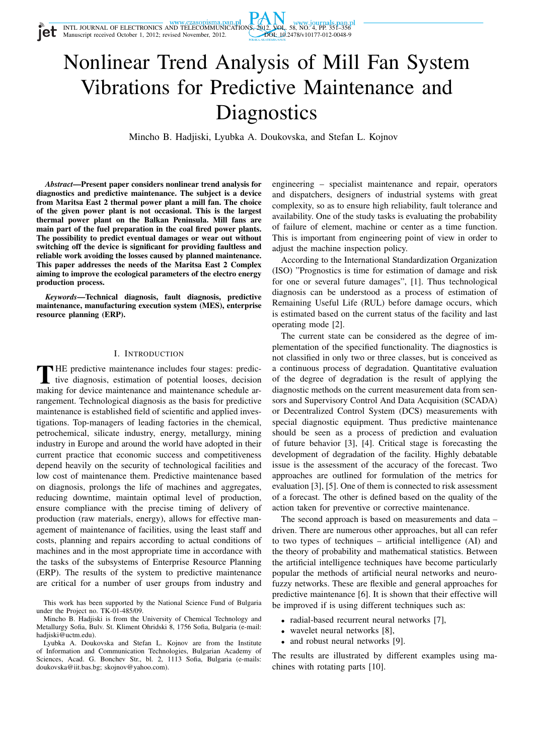Manuscript received October 1, 2012; revised November, 2012.



# Nonlinear Trend Analysis of Mill Fan System Vibrations for Predictive Maintenance and **Diagnostics**

Mincho B. Hadjiski, Lyubka A. Doukovska, and Stefan L. Kojnov

*Abstract*—Present paper considers nonlinear trend analysis for diagnostics and predictive maintenance. The subject is a device from Maritsa East 2 thermal power plant a mill fan. The choice of the given power plant is not occasional. This is the largest thermal power plant on the Balkan Peninsula. Mill fans are main part of the fuel preparation in the coal fired power plants. The possibility to predict eventual damages or wear out without switching off the device is significant for providing faultless and reliable work avoiding the losses caused by planned maintenance. This paper addresses the needs of the Maritsa East 2 Complex aiming to improve the ecological parameters of the electro energy production process.

*Keywords*—Technical diagnosis, fault diagnosis, predictive maintenance, manufacturing execution system (MES), enterprise resource planning (ERP).

### I. INTRODUCTION

THE predictive maintenance includes four stages: predictive diagnosis, estimation of potential looses, decision making for device maintenance and maintenance schedule ar-HE predictive maintenance includes four stages: predictive diagnosis, estimation of potential looses, decision rangement. Technological diagnosis as the basis for predictive maintenance is established field of scientific and applied investigations. Top-managers of leading factories in the chemical, petrochemical, silicate industry, energy, metallurgy, mining industry in Europe and around the world have adopted in their current practice that economic success and competitiveness depend heavily on the security of technological facilities and low cost of maintenance them. Predictive maintenance based on diagnosis, prolongs the life of machines and aggregates, reducing downtime, maintain optimal level of production, ensure compliance with the precise timing of delivery of production (raw materials, energy), allows for effective management of maintenance of facilities, using the least staff and costs, planning and repairs according to actual conditions of machines and in the most appropriate time in accordance with the tasks of the subsystems of Enterprise Resource Planning (ERP). The results of the system to predictive maintenance are critical for a number of user groups from industry and

engineering – specialist maintenance and repair, operators and dispatchers, designers of industrial systems with great complexity, so as to ensure high reliability, fault tolerance and availability. One of the study tasks is evaluating the probability of failure of element, machine or center as a time function. This is important from engineering point of view in order to adjust the machine inspection policy.

According to the International Standardization Organization (ISO) "Prognostics is time for estimation of damage and risk for one or several future damages", [1]. Thus technological diagnosis can be understood as a process of estimation of Remaining Useful Life (RUL) before damage occurs, which is estimated based on the current status of the facility and last operating mode [2].

The current state can be considered as the degree of implementation of the specified functionality. The diagnostics is not classified in only two or three classes, but is conceived as a continuous process of degradation. Quantitative evaluation of the degree of degradation is the result of applying the diagnostic methods on the current measurement data from sensors and Supervisory Control And Data Acquisition (SCADA) or Decentralized Control System (DCS) measurements with special diagnostic equipment. Thus predictive maintenance should be seen as a process of prediction and evaluation of future behavior [3], [4]. Critical stage is forecasting the development of degradation of the facility. Highly debatable issue is the assessment of the accuracy of the forecast. Two approaches are outlined for formulation of the metrics for evaluation [3], [5]. One of them is connected to risk assessment of a forecast. The other is defined based on the quality of the action taken for preventive or corrective maintenance.

The second approach is based on measurements and data – driven. There are numerous other approaches, but all can refer to two types of techniques – artificial intelligence (AI) and the theory of probability and mathematical statistics. Between the artificial intelligence techniques have become particularly popular the methods of artificial neural networks and neurofuzzy networks. These are flexible and general approaches for predictive maintenance [6]. It is shown that their effective will be improved if is using different techniques such as:

- radial-based recurrent neural networks [7],
- wavelet neural networks [8],
- and robust neural networks [9].

The results are illustrated by different examples using machines with rotating parts [10].

This work has been supported by the National Science Fund of Bulgaria under the Project no. TK-01-485/09.

Mincho B. Hadjiski is from the University of Chemical Technology and Metallurgy Sofia, Bulv. St. Kliment Ohridski 8, 1756 Sofia, Bulgaria (e-mail: hadiiski@uctm.edu).

Lyubka A. Doukovska and Stefan L. Kojnov are from the Institute of Information and Communication Technologies, Bulgarian Academy of Sciences, Acad. G. Bonchev Str., bl. 2, 1113 Sofia, Bulgaria (e-mails: doukovska@iit.bas.bg; skojnov@yahoo.com).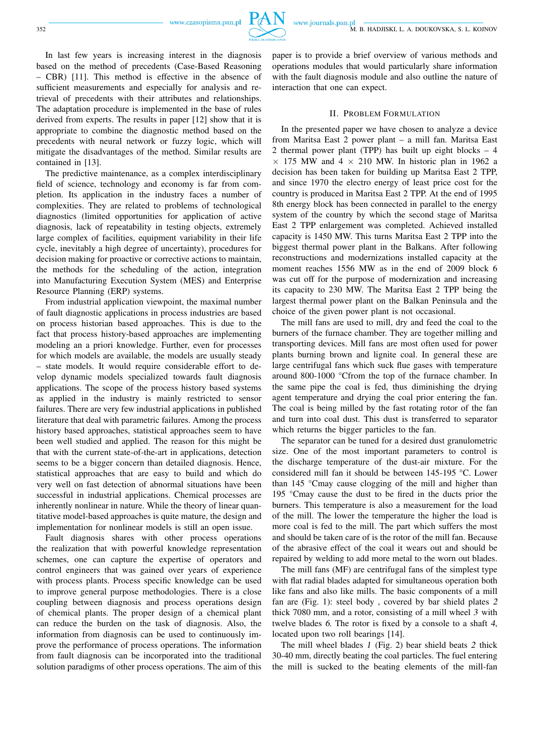www.journals.pan.pl 352 M. B. HADJISKI, L. A. DOUKOVSKA, S. L. KOJNOV

In last few years is increasing interest in the diagnosis based on the method of precedents (Case-Based Reasoning – CBR) [11]. This method is effective in the absence of sufficient measurements and especially for analysis and retrieval of precedents with their attributes and relationships. The adaptation procedure is implemented in the base of rules derived from experts. The results in paper [12] show that it is appropriate to combine the diagnostic method based on the precedents with neural network or fuzzy logic, which will mitigate the disadvantages of the method. Similar results are contained in [13].

The predictive maintenance, as a complex interdisciplinary field of science, technology and economy is far from completion. Its application in the industry faces a number of complexities. They are related to problems of technological diagnostics (limited opportunities for application of active diagnosis, lack of repeatability in testing objects, extremely large complex of facilities, equipment variability in their life cycle, inevitably a high degree of uncertainty), procedures for decision making for proactive or corrective actions to maintain, the methods for the scheduling of the action, integration into Manufacturing Execution System (MES) and Enterprise Resource Planning (ERP) systems.

From industrial application viewpoint, the maximal number of fault diagnostic applications in process industries are based on process historian based approaches. This is due to the fact that process history-based approaches are implementing modeling an a priori knowledge. Further, even for processes for which models are available, the models are usually steady – state models. It would require considerable effort to develop dynamic models specialized towards fault diagnosis applications. The scope of the process history based systems as applied in the industry is mainly restricted to sensor failures. There are very few industrial applications in published literature that deal with parametric failures. Among the process history based approaches, statistical approaches seem to have been well studied and applied. The reason for this might be that with the current state-of-the-art in applications, detection seems to be a bigger concern than detailed diagnosis. Hence, statistical approaches that are easy to build and which do very well on fast detection of abnormal situations have been successful in industrial applications. Chemical processes are inherently nonlinear in nature. While the theory of linear quantitative model-based approaches is quite mature, the design and implementation for nonlinear models is still an open issue.

Fault diagnosis shares with other process operations the realization that with powerful knowledge representation schemes, one can capture the expertise of operators and control engineers that was gained over years of experience with process plants. Process specific knowledge can be used to improve general purpose methodologies. There is a close coupling between diagnosis and process operations design of chemical plants. The proper design of a chemical plant can reduce the burden on the task of diagnosis. Also, the information from diagnosis can be used to continuously improve the performance of process operations. The information from fault diagnosis can be incorporated into the traditional solution paradigms of other process operations. The aim of this paper is to provide a brief overview of various methods and operations modules that would particularly share information with the fault diagnosis module and also outline the nature of interaction that one can expect.

#### II. PROBLEM FORMULATION

In the presented paper we have chosen to analyze a device from Maritsa East 2 power plant – a mill fan. Maritsa East 2 thermal power plant (TPP) has built up eight blocks – 4  $\times$  175 MW and 4  $\times$  210 MW. In historic plan in 1962 a decision has been taken for building up Maritsa East 2 TPP, and since 1970 the electro energy of least price cost for the country is produced in Maritsa East 2 TPP. At the end of 1995 8th energy block has been connected in parallel to the energy system of the country by which the second stage of Maritsa East 2 TPP enlargement was completed. Achieved installed capacity is 1450 MW. This turns Maritsa East 2 TPP into the biggest thermal power plant in the Balkans. After following reconstructions and modernizations installed capacity at the moment reaches 1556 MW as in the end of 2009 block 6 was cut off for the purpose of modernization and increasing its capacity to 230 MW. The Maritsa East 2 TPP being the largest thermal power plant on the Balkan Peninsula and the choice of the given power plant is not occasional.

The mill fans are used to mill, dry and feed the coal to the burners of the furnace chamber. They are together milling and transporting devices. Mill fans are most often used for power plants burning brown and lignite coal. In general these are large centrifugal fans which suck flue gases with temperature around 800-1000 °Cfrom the top of the furnace chamber. In the same pipe the coal is fed, thus diminishing the drying agent temperature and drying the coal prior entering the fan. The coal is being milled by the fast rotating rotor of the fan and turn into coal dust. This dust is transferred to separator which returns the bigger particles to the fan.

The separator can be tuned for a desired dust granulometric size. One of the most important parameters to control is the discharge temperature of the dust-air mixture. For the considered mill fan it should be between 145-195 °C. Lower than 145 °Cmay cause clogging of the mill and higher than 195 °Cmay cause the dust to be fired in the ducts prior the burners. This temperature is also a measurement for the load of the mill. The lower the temperature the higher the load is more coal is fed to the mill. The part which suffers the most and should be taken care of is the rotor of the mill fan. Because of the abrasive effect of the coal it wears out and should be repaired by welding to add more metal to the worn out blades.

The mill fans (MF) are centrifugal fans of the simplest type with flat radial blades adapted for simultaneous operation both like fans and also like mills. The basic components of a mill fan are (Fig. 1): steel body , covered by bar shield plates 2 thick 7080 mm, and a rotor, consisting of a mill wheel 3 with twelve blades 6. The rotor is fixed by a console to a shaft 4, located upon two roll bearings [14].

The mill wheel blades 1 (Fig. 2) bear shield beats 2 thick 30-40 mm, directly beating the coal particles. The fuel entering the mill is sucked to the beating elements of the mill-fan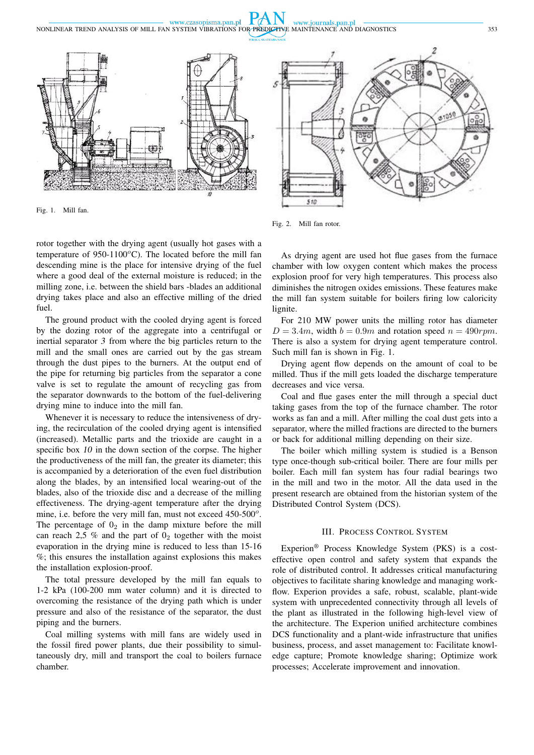www.czasopisma.pan.pl www.journals.pan.pl NONLINEAR TREND ANALYSIS OF MILL FAN SYSTEM VIBRATIONS FOR PREDICTIVE MAINTENANCE AND DIAGNOSTICS 353



Fig. 1. Mill fan.



Fig. 2. Mill fan rotor.

rotor together with the drying agent (usually hot gases with a temperature of 950-1100 $^{\circ}$ C). The located before the mill fan descending mine is the place for intensive drying of the fuel where a good deal of the external moisture is reduced; in the milling zone, i.e. between the shield bars -blades an additional drying takes place and also an effective milling of the dried fuel.

The ground product with the cooled drying agent is forced by the dozing rotor of the aggregate into a centrifugal or inertial separator 3 from where the big particles return to the mill and the small ones are carried out by the gas stream through the dust pipes to the burners. At the output end of the pipe for returning big particles from the separator a cone valve is set to regulate the amount of recycling gas from the separator downwards to the bottom of the fuel-delivering drying mine to induce into the mill fan.

Whenever it is necessary to reduce the intensiveness of drying, the recirculation of the cooled drying agent is intensified (increased). Metallic parts and the trioxide are caught in a specific box 10 in the down section of the corpse. The higher the productiveness of the mill fan, the greater its diameter; this is accompanied by a deterioration of the even fuel distribution along the blades, by an intensified local wearing-out of the blades, also of the trioxide disc and a decrease of the milling effectiveness. The drying-agent temperature after the drying mine, i.e. before the very mill fan, must not exceed 450-500°. The percentage of  $0_2$  in the damp mixture before the mill can reach 2,5 % and the part of  $0<sub>2</sub>$  together with the moist evaporation in the drying mine is reduced to less than 15-16 %; this ensures the installation against explosions this makes the installation explosion-proof.

The total pressure developed by the mill fan equals to 1-2 kPa (100-200 mm water column) and it is directed to overcoming the resistance of the drying path which is under pressure and also of the resistance of the separator, the dust piping and the burners.

Coal milling systems with mill fans are widely used in the fossil fired power plants, due their possibility to simultaneously dry, mill and transport the coal to boilers furnace chamber.

As drying agent are used hot flue gases from the furnace chamber with low oxygen content which makes the process explosion proof for very high temperatures. This process also diminishes the nitrogen oxides emissions. These features make the mill fan system suitable for boilers firing low caloricity lignite.

For 210 MW power units the milling rotor has diameter  $D = 3.4m$ , width  $b = 0.9m$  and rotation speed  $n = 490$ rpm. There is also a system for drying agent temperature control. Such mill fan is shown in Fig. 1.

Drying agent flow depends on the amount of coal to be milled. Thus if the mill gets loaded the discharge temperature decreases and vice versa.

Coal and flue gases enter the mill through a special duct taking gases from the top of the furnace chamber. The rotor works as fan and a mill. After milling the coal dust gets into a separator, where the milled fractions are directed to the burners or back for additional milling depending on their size.

The boiler which milling system is studied is a Benson type once-though sub-critical boiler. There are four mills per boiler. Each mill fan system has four radial bearings two in the mill and two in the motor. All the data used in the present research are obtained from the historian system of the Distributed Control System (DCS).

### III. PROCESS CONTROL SYSTEM

Experion® Process Knowledge System (PKS) is a costeffective open control and safety system that expands the role of distributed control. It addresses critical manufacturing objectives to facilitate sharing knowledge and managing workflow. Experion provides a safe, robust, scalable, plant-wide system with unprecedented connectivity through all levels of the plant as illustrated in the following high-level view of the architecture. The Experion unified architecture combines DCS functionality and a plant-wide infrastructure that unifies business, process, and asset management to: Facilitate knowledge capture; Promote knowledge sharing; Optimize work processes; Accelerate improvement and innovation.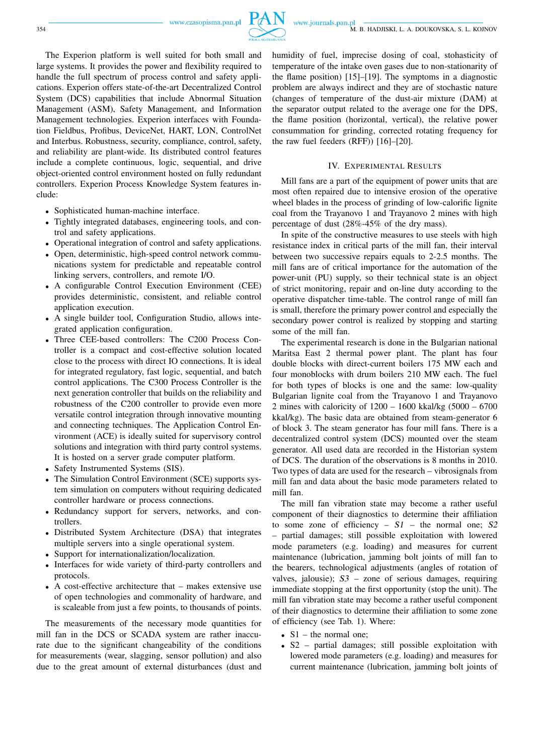

The Experion platform is well suited for both small and large systems. It provides the power and flexibility required to handle the full spectrum of process control and safety applications. Experion offers state-of-the-art Decentralized Control System (DCS) capabilities that include Abnormal Situation Management (ASM), Safety Management, and Information Management technologies. Experion interfaces with Foundation Fieldbus, Profibus, DeviceNet, HART, LON, ControlNet and Interbus. Robustness, security, compliance, control, safety, and reliability are plant-wide. Its distributed control features include a complete continuous, logic, sequential, and drive object-oriented control environment hosted on fully redundant controllers. Experion Process Knowledge System features include:

- Sophisticated human-machine interface.
- Tightly integrated databases, engineering tools, and control and safety applications.
- Operational integration of control and safety applications.
- Open, deterministic, high-speed control network communications system for predictable and repeatable control linking servers, controllers, and remote I/O.
- A configurable Control Execution Environment (CEE) provides deterministic, consistent, and reliable control application execution.
- A single builder tool, Configuration Studio, allows integrated application configuration.
- Three CEE-based controllers: The C200 Process Controller is a compact and cost-effective solution located close to the process with direct IO connections. It is ideal for integrated regulatory, fast logic, sequential, and batch control applications. The C300 Process Controller is the next generation controller that builds on the reliability and robustness of the C200 controller to provide even more versatile control integration through innovative mounting and connecting techniques. The Application Control Environment (ACE) is ideally suited for supervisory control solutions and integration with third party control systems. It is hosted on a server grade computer platform.
- Safety Instrumented Systems (SIS).
- The Simulation Control Environment (SCE) supports system simulation on computers without requiring dedicated controller hardware or process connections.
- Redundancy support for servers, networks, and controllers.
- Distributed System Architecture (DSA) that integrates multiple servers into a single operational system.
- Support for internationalization/localization.
- Interfaces for wide variety of third-party controllers and protocols.
- A cost-effective architecture that makes extensive use of open technologies and commonality of hardware, and is scaleable from just a few points, to thousands of points.

The measurements of the necessary mode quantities for mill fan in the DCS or SCADA system are rather inaccurate due to the significant changeability of the conditions for measurements (wear, slagging, sensor pollution) and also due to the great amount of external disturbances (dust and humidity of fuel, imprecise dosing of coal, stohasticity of temperature of the intake oven gases due to non-stationarity of the flame position) [15]–[19]. The symptoms in a diagnostic problem are always indirect and they are of stochastic nature (changes of temperature of the dust-air mixture (DAM) at the separator output related to the average one for the DPS, the flame position (horizontal, vertical), the relative power consummation for grinding, corrected rotating frequency for the raw fuel feeders (RFF)) [16]–[20].

#### IV. EXPERIMENTAL RESULTS

Mill fans are a part of the equipment of power units that are most often repaired due to intensive erosion of the operative wheel blades in the process of grinding of low-calorific lignite coal from the Trayanovo 1 and Trayanovo 2 mines with high percentage of dust (28%-45% of the dry mass).

In spite of the constructive measures to use steels with high resistance index in critical parts of the mill fan, their interval between two successive repairs equals to 2-2.5 months. The mill fans are of critical importance for the automation of the power-unit (PU) supply, so their technical state is an object of strict monitoring, repair and on-line duty according to the operative dispatcher time-table. The control range of mill fan is small, therefore the primary power control and especially the secondary power control is realized by stopping and starting some of the mill fan.

The experimental research is done in the Bulgarian national Maritsa East 2 thermal power plant. The plant has four double blocks with direct-current boilers 175 MW each and four monoblocks with drum boilers 210 MW each. The fuel for both types of blocks is one and the same: low-quality Bulgarian lignite coal from the Trayanovo 1 and Trayanovo 2 mines with caloricity of 1200 – 1600 kkal/kg (5000 – 6700 kkal/kg). The basic data are obtained from steam-generator 6 of block 3. The steam generator has four mill fans. There is a decentralized control system (DCS) mounted over the steam generator. All used data are recorded in the Historian system of DCS. The duration of the observations is 8 months in 2010. Two types of data are used for the research – vibrosignals from mill fan and data about the basic mode parameters related to mill fan.

The mill fan vibration state may become a rather useful component of their diagnostics to determine their affiliation to some zone of efficiency  $- S1 -$  the normal one; S2 – partial damages; still possible exploitation with lowered mode parameters (e.g. loading) and measures for current maintenance (lubrication, jamming bolt joints of mill fan to the bearers, technological adjustments (angles of rotation of valves, jalousie);  $S3$  – zone of serious damages, requiring immediate stopping at the first opportunity (stop the unit). The mill fan vibration state may become a rather useful component of their diagnostics to determine their affiliation to some zone of efficiency (see Tab. 1). Where:

- $S1$  the normal one;
- S2 partial damages; still possible exploitation with lowered mode parameters (e.g. loading) and measures for current maintenance (lubrication, jamming bolt joints of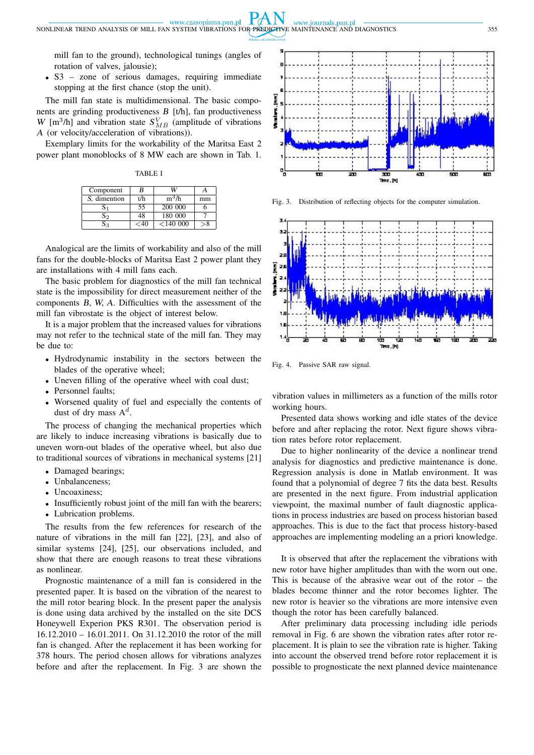mill fan to the ground), technological tunings (angles of rotation of valves, jalousie);

• S3 – zone of serious damages, requiring immediate stopping at the first chance (stop the unit).

The mill fan state is multidimensional. The basic components are grinding productiveness B [t/h], fan productiveness W [m<sup>3</sup>/h] and vibration state  $S_{MB}^V$  (amplitude of vibrations A (or velocity/acceleration of vibrations)).

Exemplary limits for the workability of the Maritsa East 2 power plant monoblocks of 8 MW each are shown in Tab. 1.

TABLE I

| Component    | В   |          |    |
|--------------|-----|----------|----|
| S, dimention | t/h | $m^3/h$  | mm |
|              | 55  | 200 000  |    |
| 52           | 48  | 180 000  |    |
|              | -40 | < 140000 |    |

Analogical are the limits of workability and also of the mill fans for the double-blocks of Maritsa East 2 power plant they are installations with 4 mill fans each.

The basic problem for diagnostics of the mill fan technical state is the impossibility for direct measurement neither of the components B, W, A. Difficulties with the assessment of the mill fan vibrostate is the object of interest below.

It is a major problem that the increased values for vibrations may not refer to the technical state of the mill fan. They may be due to:

- Hydrodynamic instability in the sectors between the blades of the operative wheel;
- Uneven filling of the operative wheel with coal dust;
- Personnel faults;
- Worsened quality of fuel and especially the contents of dust of dry mass  $A^d$ .

The process of changing the mechanical properties which are likely to induce increasing vibrations is basically due to uneven worn-out blades of the operative wheel, but also due to traditional sources of vibrations in mechanical systems [21]

- Damaged bearings;
- Unbalanceness;
- Uncoaxiness;
- Insufficiently robust joint of the mill fan with the bearers;
- Lubrication problems.

The results from the few references for research of the nature of vibrations in the mill fan [22], [23], and also of similar systems [24], [25], our observations included, and show that there are enough reasons to treat these vibrations as nonlinear.

Prognostic maintenance of a mill fan is considered in the presented paper. It is based on the vibration of the nearest to the mill rotor bearing block. In the present paper the analysis is done using data archived by the installed on the site DCS Honeywell Experion PKS R301. The observation period is 16.12.2010 – 16.01.2011. On 31.12.2010 the rotor of the mill fan is changed. After the replacement it has been working for 378 hours. The period chosen allows for vibrations analyzes before and after the replacement. In Fig. 3 are shown the



Fig. 3. Distribution of reflecting objects for the computer simulation.



Fig. 4. Passive SAR raw signal.

www.journals.pan.pl

vibration values in millimeters as a function of the mills rotor working hours.

Presented data shows working and idle states of the device before and after replacing the rotor. Next figure shows vibration rates before rotor replacement.

Due to higher nonlinearity of the device a nonlinear trend analysis for diagnostics and predictive maintenance is done. Regression analysis is done in Matlab environment. It was found that a polynomial of degree 7 fits the data best. Results are presented in the next figure. From industrial application viewpoint, the maximal number of fault diagnostic applications in process industries are based on process historian based approaches. This is due to the fact that process history-based approaches are implementing modeling an a priori knowledge.

It is observed that after the replacement the vibrations with new rotor have higher amplitudes than with the worn out one. This is because of the abrasive wear out of the rotor – the blades become thinner and the rotor becomes lighter. The new rotor is heavier so the vibrations are more intensive even though the rotor has been carefully balanced.

After preliminary data processing including idle periods removal in Fig. 6 are shown the vibration rates after rotor replacement. It is plain to see the vibration rate is higher. Taking into account the observed trend before rotor replacement it is possible to prognosticate the next planned device maintenance